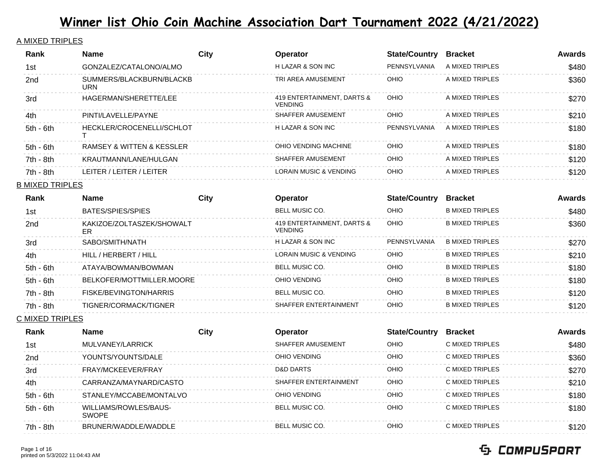### A MIXED TRIPLES

| Rank        | <b>Name</b>                     | City | <b>Operator</b>                              | <b>State/Country</b> | <b>Bracket</b>   | Awards |
|-------------|---------------------------------|------|----------------------------------------------|----------------------|------------------|--------|
| 1st         | GONZALEZ/CATALONO/ALMO          |      | <b>HLAZAR &amp; SON INC</b>                  | PENNSYLVANIA         | A MIXED TRIPLES  | \$480  |
| 2nd         | SUMMERS/BLACKBURN/BLACKB<br>URN |      | TRI AREA AMUSEMENT                           | <b>OHIO</b>          | A MIXED TRIPLES  | \$360  |
| 3rd         | HAGERMAN/SHERETTE/LEE           |      | 419 ENTERTAINMENT, DARTS &<br><b>VENDING</b> | <b>OHIO</b>          | A MIXED TRIPLES  | \$270  |
| 4th         | PINTI/LAVELLE/PAYNE             |      | SHAFFER AMUSEMENT                            | <b>OHIO</b>          | A MIXED TRIPLES  | \$210  |
| $5th - 6th$ | HECKLER/CROCENELLI/SCHLOT       |      | H LAZAR & SON INC                            | PFNNSYI VANIA        | A MIXED TRIPI ES | \$180  |
| $5th - 6th$ | RAMSEY & WITTEN & KESSLER       |      | OHIO VENDING MACHINE                         | <b>OHIO</b>          | A MIXED TRIPLES  | \$180  |
| $7th - 8th$ | KRAUTMANN/LANE/HULGAN           |      | SHAFFER AMUSEMENT                            | <b>OHIO</b>          | A MIXED TRIPLES  | \$120  |
| $7th - 8th$ | LEITER / LEITER / LEITER        |      | LORAIN MUSIC & VENDING                       | <b>OHIO</b>          | A MIXED TRIPLES  | \$120  |

### B MIXED TRIPLES

| Rank            | <b>Name</b>                     | City | <b>Operator</b>                              | <b>State/Country</b> | <b>Bracket</b>         | Awards |
|-----------------|---------------------------------|------|----------------------------------------------|----------------------|------------------------|--------|
| 1st             | BATES/SPIES/SPIES               |      | <b>BELL MUSIC CO.</b>                        | <b>OHIO</b>          | <b>B MIXED TRIPLES</b> | \$480  |
| 2 <sub>nd</sub> | KAKIZOE/ZOLTASZEK/SHOWALT<br>ER |      | 419 ENTERTAINMENT, DARTS &<br><b>VENDING</b> | OHIO                 | <b>B MIXED TRIPLES</b> | \$360  |
| 3rd             | SABO/SMITH/NATH                 |      | H LAZAR & SON INC                            | PENNSYLVANIA         | <b>B MIXED TRIPLES</b> | \$270  |
| 4th             | HILL / HERBERT / HILL           |      | LORAIN MUSIC & VENDING                       | <b>OHIO</b>          | <b>B MIXED TRIPLES</b> | \$210  |
| $5th - 6th$     | ATAYA/BOWMAN/BOWMAN             |      | BELL MUSIC CO.                               | <b>OHIO</b>          | <b>B MIXED TRIPLES</b> | \$180  |
| $5th - 6th$     | BELKOFER/MOTTMILLER.MOORE       |      | OHIO VENDING                                 | <b>OHIO</b>          | <b>B MIXED TRIPLES</b> | \$180  |
| 7th - 8th       | FISKE/BEVINGTON/HARRIS          |      | BELL MUSIC CO.                               | <b>OHIO</b>          | <b>B MIXED TRIPLES</b> | \$120  |
| $7th - 8th$     | TIGNER/CORMACK/TIGNER           |      | SHAFFER ENTERTAINMENT                        | <b>OHIO</b>          | <b>B MIXED TRIPLES</b> | \$120  |
|                 |                                 |      |                                              |                      |                        |        |

C MIXED TRIPLES

| Rank        | <b>Name</b>                           | City | <b>Operator</b>       | <b>State/Country</b> | <b>Bracket</b>   | Awards |
|-------------|---------------------------------------|------|-----------------------|----------------------|------------------|--------|
| 1st         | MULVANEY/LARRICK                      |      | SHAFFER AMUSEMENT     | OHIO                 | C MIXED TRIPLES  | \$480  |
| 2nd         | YOUNTS/YOUNTS/DALE                    |      | OHIO VENDING          | OHIO                 | C MIXED TRIPLES  | \$360  |
| 3rd         | FRAY/MCKFFVFR/FRAY                    |      | D&D DARTS             | OHIO                 | C MIXED TRIPI ES | \$270  |
| 4th         | CARRANZA/MAYNARD/CASTO                |      | SHAFFER ENTERTAINMENT | <b>OHIO</b>          | C MIXED TRIPLES  | \$210  |
| $5th - 6th$ | STANLEY/MCCABE/MONTALVO               |      | OHIO VENDING          | <b>OHIO</b>          | C MIXED TRIPI ES | \$180  |
| $5th - 6th$ | WILLIAMS/ROWLES/BAUS-<br><b>SWOPF</b> |      | BELL MUSIC CO.        | OHIO                 | C MIXED TRIPLES  | \$180  |
| 7th - 8th   | BRUNER/WADDLE/WADDLE                  |      | BELL MUSIC CO.        | OHIO                 | C MIXED TRIPLES  | \$120  |

#### Page 1 of 16 printed on 5/3/2022 11:04:43 AM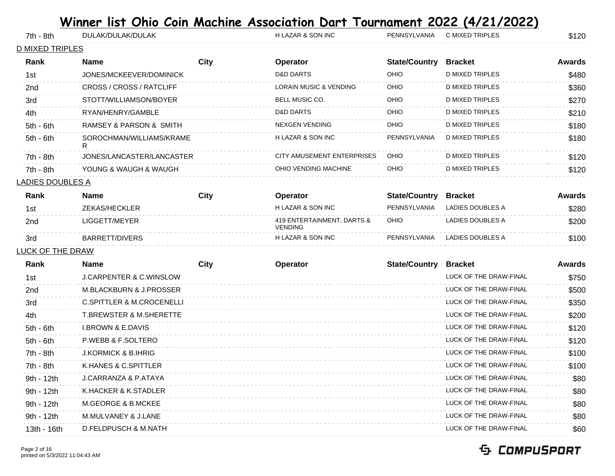| 7th - 8th               | DULAK/DULAK/DULAK             |      | H LAZAR & SON INC                            | PENNSYLVANIA         | C MIXED TRIPLES         | \$120  |
|-------------------------|-------------------------------|------|----------------------------------------------|----------------------|-------------------------|--------|
| <b>D MIXED TRIPLES</b>  |                               |      |                                              |                      |                         |        |
| Rank                    | Name                          | City | Operator                                     | <b>State/Country</b> | <b>Bracket</b>          | Awards |
| 1st                     | JONES/MCKEEVER/DOMINICK       |      | <b>D&amp;D DARTS</b>                         | OHIO                 | <b>D MIXED TRIPLES</b>  | \$480  |
| 2nd                     | CROSS / CROSS / RATCLIFF      |      | <b>LORAIN MUSIC &amp; VENDING</b>            | OHIO                 | <b>D MIXED TRIPLES</b>  | \$360  |
| 3rd                     | STOTT/WILLIAMSON/BOYER        |      | BELL MUSIC CO.                               | OHIO                 | D MIXED TRIPLES         | \$270  |
| 4th                     | RYAN/HENRY/GAMBLE             |      | <b>D&amp;D DARTS</b>                         | OHIO                 | D MIXED TRIPLES         | \$210  |
| $5th - 6th$             | RAMSEY & PARSON & SMITH       |      | <b>NEXGEN VENDING</b>                        | OHIO                 | <b>D MIXED TRIPLES</b>  | \$180  |
| $5th - 6th$             | SOROCHMAN/WILLIAMS/KRAME<br>R |      | <b>H LAZAR &amp; SON INC</b>                 | PENNSYLVANIA         | D MIXED TRIPLES         | \$180  |
| 7th - 8th               | JONES/LANCASTER/LANCASTER     |      | CITY AMUSEMENT ENTERPRISES                   | OHIO                 | D MIXED TRIPLES         | \$120  |
| 7th - 8th               | YOUNG & WAUGH & WAUGH         |      | OHIO VENDING MACHINE                         | OHIO                 | D MIXED TRIPLES         | \$120  |
| <b>LADIES DOUBLES A</b> |                               |      |                                              |                      |                         |        |
| Rank                    | <b>Name</b>                   | City | <b>Operator</b>                              | <b>State/Country</b> | <b>Bracket</b>          | Awards |
| 1st                     | ZEKAS/HECKLER                 |      | H LAZAR & SON INC                            | PENNSYLVANIA         | LADIES DOUBLES A        | \$280  |
| 2 <sub>nd</sub>         | LIGGETT/MEYER                 |      | 419 ENTERTAINMENT, DARTS &<br><b>VENDING</b> | OHIO                 | <b>LADIES DOUBLES A</b> | \$200  |

### 3rd BARRETT/DIVERS H LAZAR & SON INC PENNSYLVANIA LADIES DOUBLES A \$100 LUCK OF THE DRAW

| Rank            | <b>Name</b>                          | City | Operator | <b>State/Country</b> | <b>Bracket</b>         | <b>Awards</b> |
|-----------------|--------------------------------------|------|----------|----------------------|------------------------|---------------|
| 1st             | <b>J.CARPENTER &amp; C.WINSLOW</b>   |      |          |                      | LUCK OF THE DRAW-FINAL | \$750         |
| 2 <sub>nd</sub> | M.BLACKBURN & J.PROSSER              |      |          |                      | LUCK OF THE DRAW-FINAL | \$500         |
| 3rd             | <b>C.SPITTLER &amp; M.CROCENELLI</b> |      |          |                      | LUCK OF THE DRAW-FINAL | \$350         |
| 4th             | <b>T.BREWSTER &amp; M.SHERETTE</b>   |      |          |                      | LUCK OF THE DRAW-FINAL | \$200         |
| $5th - 6th$     | <b>I.BROWN &amp; E.DAVIS</b>         |      |          |                      | LUCK OF THE DRAW-FINAL | \$120         |
| $5th - 6th$     | P.WEBB & F.SOLTERO                   |      |          |                      | LUCK OF THE DRAW-FINAL | \$120         |
| 7th - 8th       | <b>J.KORMICK &amp; B.IHRIG</b>       |      |          |                      | LUCK OF THE DRAW-FINAL | \$100         |
| 7th - 8th       | K.HANES & C.SPITTLER                 |      |          |                      | LUCK OF THE DRAW-FINAL | \$100         |
| 9th - 12th      | <b>J.CARRANZA &amp; P.ATAYA</b>      |      |          |                      | LUCK OF THE DRAW-FINAL | \$80          |
| 9th - 12th      | K.HACKER & K.STADLER                 |      |          |                      | LUCK OF THE DRAW-FINAL | \$80          |
| 9th - 12th      | M.GEORGE & B.MCKEE                   |      |          |                      | LUCK OF THE DRAW-FINAL | \$80          |
| 9th - 12th      | M.MULVANEY & J.LANE                  |      |          |                      | LUCK OF THE DRAW-FINAL | \$80          |
| 13th - 16th     | D.FELDPUSCH & M.NATH                 |      |          |                      | LUCK OF THE DRAW-FINAL | \$60          |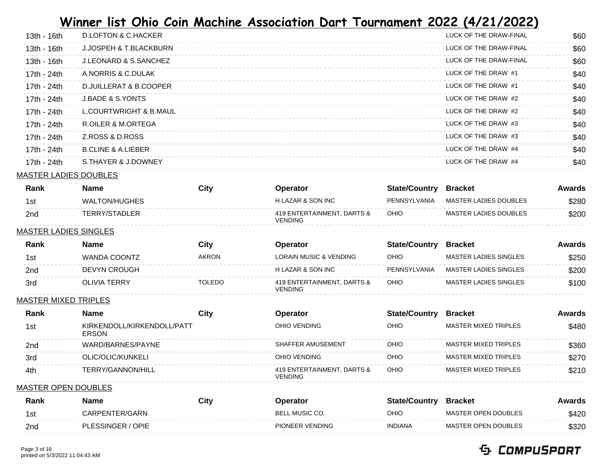| $13th - 16th$ | D.LOFTON & C.HACKER              | LUCK OF THE DRAW-FINAL | \$60 |
|---------------|----------------------------------|------------------------|------|
| $13th - 16th$ | J.JOSPEH & T.BLACKBURN           | LUCK OF THE DRAW-FINAL | \$60 |
| $13th - 16th$ | <b>J.LEONARD &amp; S.SANCHEZ</b> | LUCK OF THE DRAW-FINAL | \$60 |
| 17th - 24th   | A.NORRIS & C.DULAK               | LUCK OF THE DRAW #1    | \$40 |
| 17th - 24th   | D.JUILLERAT & B.COOPER           | LUCK OF THE DRAW #1    | \$40 |
| 17th - 24th   | <b>J.BADE &amp; S.YONTS</b>      | LUCK OF THE DRAW #2    | \$40 |
| 17th - 24th   | L.COURTWRIGHT & B.MAUL           | LUCK OF THE DRAW #2    | \$40 |
| 17th - 24th   | R.OILER & M.ORTEGA               | LUCK OF THE DRAW #3    | \$40 |
| 17th - 24th   | Z.ROSS & D.ROSS                  | LUCK OF THE DRAW #3    | \$40 |
| 17th - 24th   | <b>B.CLINE &amp; A.LIEBER</b>    | LUCK OF THE DRAW #4    | \$40 |
| 17th - 24th   | S.THAYER & J.DOWNEY              | LUCK OF THE DRAW #4    | \$40 |
|               |                                  |                        |      |

## MASTER LADIES DOUBLES

| Rank            | <b>Name</b>   | City | Operator                                     | <b>State/Country</b> | Bracket               | Awards |
|-----------------|---------------|------|----------------------------------------------|----------------------|-----------------------|--------|
| 1st             | WALTON/HUGHES |      | H LAZAR & SON INC                            | PENNSYLVANIA         | MASTER LADIES DOUBLES | \$280  |
| 2 <sub>nd</sub> | TERRY/STADLER |      | 419 ENTERTAINMENT, DARTS &<br><b>VENDING</b> | OHIO                 | MASTER LADIES DOUBLES | \$200  |

#### MASTER LADIES SINGLES

| Rank | Name                | City          | <b>Operator</b>                              | <b>State/Country</b> | Bracket                      | Awards |
|------|---------------------|---------------|----------------------------------------------|----------------------|------------------------------|--------|
| 1st  | <b>WANDA COONTZ</b> | <b>AKRON</b>  | LORAIN MUSIC & VENDING                       | OHIO                 | MASTER LADIES SINGLES        | \$250  |
| 2nd  | <b>DEVYN CROUGH</b> |               | H LAZAR & SON INC                            | PENNSYLVANIA         | MASTER LADIES SINGLES        | \$200  |
| 3rd  | <b>OLIVIA TERRY</b> | <b>TOLEDO</b> | 419 ENTERTAINMENT, DARTS &<br><b>VENDING</b> | OHIO                 | <b>MASTER LADIES SINGLES</b> | \$100  |

### MASTER MIXED TRIPLES

| Rank | Name                                       | City | <b>Operator</b>                       | <b>State/Country</b> | <b>Bracket</b>       | Awards |
|------|--------------------------------------------|------|---------------------------------------|----------------------|----------------------|--------|
| 1st  | KIRKENDOLL/KIRKENDOLL/PATT<br><b>ERSON</b> |      | OHIO VENDING                          | OHIO                 | MASTER MIXED TRIPLES | \$480  |
| 2nd  | WARD/BARNES/PAYNE                          |      | SHAFFER AMUSEMENT                     | OHIO                 | MASTER MIXED TRIPLES | \$360  |
| 3rd  | OLIC/OLIC/KUNKELI                          |      | OHIO VENDING                          | OHIO                 | MASTER MIXED TRIPLES | \$270  |
| 4th  | TERRY/GANNON/HILL                          |      | 419 ENTERTAINMENT, DARTS &<br>VENDING | OHIO                 | MASTER MIXED TRIPLES | \$210  |

#### MASTER OPEN DOUBLES

| Rank | Name              | City | Operator              | <b>State/Country</b> | <b>Bracket</b>      | Awards |
|------|-------------------|------|-----------------------|----------------------|---------------------|--------|
| 1st  | CARPENTER/GARN    |      | <b>BELL MUSIC CO.</b> | OHIO                 | MASTER OPEN DOUBLES | \$420  |
| 2nd  | PLESSINGER / OPIE |      | PIONEER VENDING       | <b>INDIANA</b>       | MASTER OPEN DOUBLES | \$320  |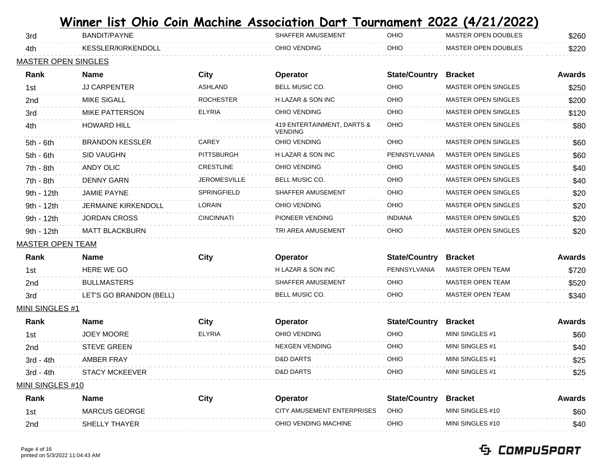| 3rd                        | ———<br>BANDIT/PAYNE        | <b>PORT MODERNIE</b> | SHAFFER AMUSEMENT                            | , vui numen<br>OHIO  | 17 ==7 =>==7<br><b>MASTER OPEN DOUBLES</b> | \$260         |
|----------------------------|----------------------------|----------------------|----------------------------------------------|----------------------|--------------------------------------------|---------------|
| 4th                        | KESSLER/KIRKENDOLL         |                      | OHIO VENDING                                 | OHIO                 | MASTER OPEN DOUBLES                        | \$220         |
| <b>MASTER OPEN SINGLES</b> |                            |                      |                                              |                      |                                            |               |
| Rank                       | <b>Name</b>                | <b>City</b>          | Operator                                     | <b>State/Country</b> | <b>Bracket</b>                             | <b>Awards</b> |
| 1st                        | <b>JJ CARPENTER</b>        | <b>ASHLAND</b>       | BELL MUSIC CO.                               | OHIO                 | <b>MASTER OPEN SINGLES</b>                 | \$250         |
| 2nd                        | <b>MIKE SIGALL</b>         | <b>ROCHESTER</b>     | H LAZAR & SON INC                            | OHIO                 | MASTER OPEN SINGLES                        | \$200         |
| 3rd                        | <b>MIKE PATTERSON</b>      | <b>ELYRIA</b>        | OHIO VENDING                                 | OHIO                 | <b>MASTER OPEN SINGLES</b>                 | \$120         |
| 4th                        | <b>HOWARD HILL</b>         |                      | 419 ENTERTAINMENT, DARTS &<br><b>VENDING</b> | OHIO                 | <b>MASTER OPEN SINGLES</b>                 | \$80          |
| $5th - 6th$                | <b>BRANDON KESSLER</b>     | CAREY                | OHIO VENDING                                 | OHIO                 | <b>MASTER OPEN SINGLES</b>                 | \$60          |
| $5th - 6th$                | <b>SID VAUGHN</b>          | <b>PITTSBURGH</b>    | H LAZAR & SON INC                            | PENNSYLVANIA         | <b>MASTER OPEN SINGLES</b>                 | \$60          |
| 7th - 8th                  | <b>ANDY OLIC</b>           | <b>CRESTLINE</b>     | OHIO VENDING                                 | OHIO                 | <b>MASTER OPEN SINGLES</b>                 | \$40          |
| 7th - 8th                  | <b>DENNY GARN</b>          | <b>JEROMESVILLE</b>  | BELL MUSIC CO.                               | OHIO                 | <b>MASTER OPEN SINGLES</b>                 | \$40          |
| 9th - 12th                 | <b>JAMIE PAYNE</b>         | SPRINGFIELD          | SHAFFER AMUSEMENT                            | OHIO                 | <b>MASTER OPEN SINGLES</b>                 | \$20          |
| 9th - 12th                 | <b>JERMAINE KIRKENDOLL</b> | LORAIN               | OHIO VENDING                                 | OHIO                 | <b>MASTER OPEN SINGLES</b>                 | \$20          |
| 9th - 12th                 | <b>JORDAN CROSS</b>        | <b>CINCINNATI</b>    | PIONEER VENDING                              | <b>INDIANA</b>       | MASTER OPEN SINGLES                        | \$20          |
| 9th - 12th                 | <b>MATT BLACKBURN</b>      |                      | TRI AREA AMUSEMENT                           | OHIO                 | <b>MASTER OPEN SINGLES</b>                 | \$20          |
| <b>MASTER OPEN TEAM</b>    |                            |                      |                                              |                      |                                            |               |
| Rank                       | <b>Name</b>                | <b>City</b>          | Operator                                     | <b>State/Country</b> | <b>Bracket</b>                             | <b>Awards</b> |
| 1st                        | HERE WE GO                 |                      | H LAZAR & SON INC                            | PENNSYLVANIA         | <b>MASTER OPEN TEAM</b>                    | \$720         |
| 2nd                        | <b>BULLMASTERS</b>         |                      | <b>SHAFFER AMUSEMENT</b>                     | OHIO                 | <b>MASTER OPEN TEAM</b>                    | \$520         |
| 3rd                        | LET'S GO BRANDON (BELL)    |                      | <b>BELL MUSIC CO.</b>                        | OHIO                 | <b>MASTER OPEN TEAM</b>                    | \$340         |
| MINI SINGLES #1            |                            |                      |                                              |                      |                                            |               |
| Rank                       | <b>Name</b>                | City                 | <b>Operator</b>                              | <b>State/Country</b> | <b>Bracket</b>                             | <b>Awards</b> |
| 1st                        | <b>JOEY MOORE</b>          | <b>ELYRIA</b>        | OHIO VENDING                                 | OHIO                 | MINI SINGLES #1                            | \$60          |
| 2nd                        | <b>STEVE GREEN</b>         |                      | <b>NEXGEN VENDING</b>                        | OHIO                 | MINI SINGLES #1                            | \$40          |
| 3rd - 4th                  | <b>AMBER FRAY</b>          |                      | <b>D&amp;D DARTS</b>                         | OHIO                 | MINI SINGLES #1                            | \$25          |

MINI SINGLES #10

| Rank | Name          | City | <b>Operator</b>            | <b>State/Country</b> | Bracket          | Awards |
|------|---------------|------|----------------------------|----------------------|------------------|--------|
|      | MARCUS GEORGE |      | CITY AMUSEMENT ENTERPRISES | <b>OHIO</b>          | MINI SINGLES #10 | \$60   |
| 2nd  | SHELLY THAYER |      | OHIO VENDING MACHINE       | OHIO                 | MINI SINGLES #10 | \$40   |

3rd - 4th STACY MCKEEVER D&D DARTS OHIO MINI SINGLES #1 \$25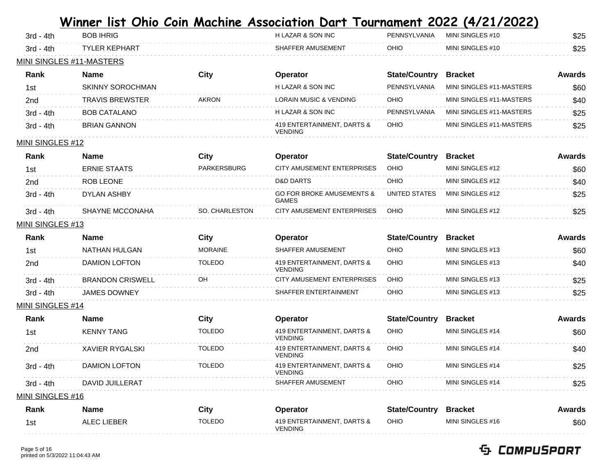| $3rd - 4th$              | <b>BOB IHRIG</b>     | H LAZAR & SON INC | PENNSYLVANIA | MINI SINGLES #10 | \$25 |
|--------------------------|----------------------|-------------------|--------------|------------------|------|
| $3rd - 4th$              | <b>TYLER KEPHART</b> | SHAFFER AMUSEMENT | OHIO         | MINI SINGLES #10 | \$25 |
| MINI SINGLES #11-MASTERS |                      |                   |              |                  |      |

| Rank        | Name                | City         | Operator                                     | <b>State/Country</b> | <b>Bracket</b>           | Awards |
|-------------|---------------------|--------------|----------------------------------------------|----------------------|--------------------------|--------|
| 1st         | SKINNY SOROCHMAN    |              | H LAZAR & SON INC                            | PENNSYLVANIA         | MINI SINGLES #11-MASTERS | \$60   |
| 2nd         | TRAVIS BREWSTER     | <b>AKRON</b> | <b>LORAIN MUSIC &amp; VENDING</b>            | OHIO                 | MINI SINGLES #11-MASTERS | \$40   |
| $3rd - 4th$ | <b>BOB CATALANO</b> |              | H LAZAR & SON INC                            | PENNSYLVANIA         | MINI SINGLES #11-MASTERS | \$25   |
| $3rd - 4th$ | <b>BRIAN GANNON</b> |              | 419 ENTERTAINMENT, DARTS &<br><b>VENDING</b> | OHIO                 | MINI SINGLES #11-MASTERS | \$25   |

#### MINI SINGLES #12

| Rank        | Name                | City           | <b>Operator</b>                                      | <b>State/Country</b> | <b>Bracket</b>    | Awards |
|-------------|---------------------|----------------|------------------------------------------------------|----------------------|-------------------|--------|
| 1st         | <b>ERNIE STAATS</b> | PARKERSBURG    | CITY AMUSEMENT ENTERPRISES                           | OHIO                 | MINI SINGLES #12  | \$60   |
| 2nd         | ROB LEONE           |                | <b>D&amp;D DARTS</b>                                 | OHIO                 | MINI SINGLES #12  | \$40   |
| $3rd - 4th$ | DYLAN ASHBY         |                | <b>GO FOR BROKE AMUSEMENTS &amp;</b><br><b>GAMES</b> | UNITED STATES        | MINI SINGI FS #12 | \$25   |
| $3rd - 4th$ | SHAYNE MCCONAHA     | SO. CHARLESTON | CITY AMUSEMENT ENTERPRISES                           | <b>OHIO</b>          | MINI SINGLES #12  | \$25   |

#### MINI SINGLES #13

| Rank        | Name                    | City          | <b>Operator</b>                              | <b>State/Country</b> | <b>Bracket</b>   | Awards      |
|-------------|-------------------------|---------------|----------------------------------------------|----------------------|------------------|-------------|
| 1st         | NATHAN HULGAN           | MORAINE       | SHAFFER AMUSEMENT                            | OHIO                 | MINI SINGLES #13 | <b>\$60</b> |
| 2nd         | DAMION LOFTON           | <b>TOLEDO</b> | 419 ENTERTAINMENT, DARTS &<br><b>VENDING</b> | OHIO                 | MINI SINGLES #13 | \$40        |
| $3rd - 4th$ | <b>BRANDON CRISWELL</b> | OН            | CITY AMUSEMENT ENTERPRISES                   | OHIO                 | MINI SINGLES #13 | \$25        |
| $3rd - 4th$ | <b>JAMES DOWNEY</b>     |               | SHAFFER ENTERTAINMENT                        | OHIO                 | MINI SINGLES #13 | \$25        |

#### MINI SINGLES #14

| Rank             | <b>Name</b>          | City          | <b>Operator</b>                              | <b>State/Country</b> | <b>Bracket</b>   | Awards |
|------------------|----------------------|---------------|----------------------------------------------|----------------------|------------------|--------|
| 1st              | <b>KENNY TANG</b>    | <b>TOLEDO</b> | 419 ENTERTAINMENT, DARTS &<br><b>VENDING</b> | OHIO                 | MINI SINGLES #14 | \$60   |
| 2nd              | XAVIER RYGALSKI      | <b>TOLEDO</b> | 419 ENTERTAINMENT, DARTS &<br><b>VENDING</b> | OHIO                 | MINI SINGLES #14 | \$40   |
| $3rd - 4th$      | <b>DAMION LOFTON</b> | <b>TOLEDO</b> | 419 ENTERTAINMENT, DARTS &<br><b>VENDING</b> | OHIO                 | MINI SINGLES #14 | \$25   |
| $3rd - 4th$      | DAVID JUILLERAT      |               | SHAFFER AMUSEMENT                            | OHIO                 | MINI SINGLES #14 | \$25   |
| MINI SINGLES #16 |                      |               |                                              |                      |                  |        |

| Rank | Name        | City          | Operator                                     | <b>State/Country</b> | <b>Bracket</b>   | Awards |
|------|-------------|---------------|----------------------------------------------|----------------------|------------------|--------|
| 1st  | ALEC LIEBER | <b>TOLEDO</b> | 419 ENTERTAINMENT, DARTS &<br><b>VENDING</b> | OHIO                 | MINI SINGLES #16 | \$60   |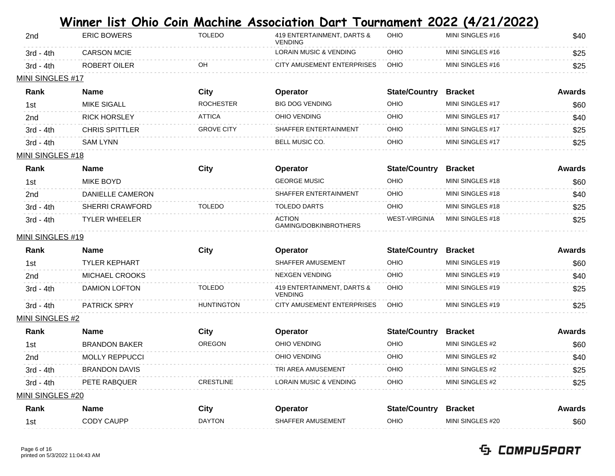| 2 <sub>nd</sub> | <b>ERIC BOWERS</b> | TOLEDO | 419 ENTERTAINMENT, DARTS &<br><b>VENDING</b> | <b>OHIO</b> | MINI SINGLES #16 | \$40 |
|-----------------|--------------------|--------|----------------------------------------------|-------------|------------------|------|
| $3rd - 4th$     | <b>CARSON MCIE</b> |        | <b>LORAIN MUSIC &amp; VENDING</b>            | OHIO        | MINI SINGLES #16 | \$25 |
| $3rd - 4th$     | ROBERT OILER       | OН     | CITY AMUSEMENT ENTERPRISES                   | OHIO        | MINI SINGLES #16 | \$25 |
|                 |                    |        |                                              |             |                  |      |

### MINI SINGLES #17

| Rank        | <b>Name</b>         | City              | <b>Operator</b>       | <b>State/Country</b> | <b>Bracket</b>    | Awards |
|-------------|---------------------|-------------------|-----------------------|----------------------|-------------------|--------|
| 1st         | <b>MIKE SIGALL</b>  | <b>ROCHESTER</b>  | BIG DOG VENDING       | OHIO                 | MINI SINGLES #17  | \$60   |
| 2nd         | <b>RICK HORSLEY</b> | <b>ATTICA</b>     | OHIO VENDING          | <b>OHIO</b>          | MINI SINGLES #17  | \$40   |
| $3rd - 4th$ | CHRIS SPITTLER      | <b>GROVE CITY</b> | SHAFFER ENTERTAINMENT | OHIO                 | MINI SINGI FS #17 | \$25   |
| $3rd - 4th$ | SAM LYNN            |                   | BELL MUSIC CO.        | OHIO                 | MINI SINGLES #17  | \$25   |

### **MINI SINGLES #18**

| <b>Rank</b>     | Name                   | City          | <b>Operator</b>                        | <b>State/Country</b> | <b>Bracket</b>   | Awards |
|-----------------|------------------------|---------------|----------------------------------------|----------------------|------------------|--------|
| 1st             | MIKE BOYD              |               | <b>GEORGE MUSIC</b>                    | OHIO                 | MINI SINGLES #18 | \$60   |
| 2 <sub>nd</sub> | DANIELLE CAMERON       |               | SHAFFER ENTERTAINMENT                  | OHIO                 | MINI SINGLES #18 | \$40   |
| $3rd - 4th$     | <b>SHERRI CRAWFORD</b> | <b>TOLEDO</b> | <b>TOLEDO DARTS</b>                    | OHIO                 | MINI SINGLES #18 | \$25   |
| $3rd - 4th$     | <b>TYLER WHEELER</b>   |               | <b>ACTION</b><br>GAMING/DOBKINBROTHERS | <b>WEST-VIRGINIA</b> | MINI SINGLES #18 | \$25   |

#### **MINI SINGLES #19**

| <b>Rank</b> | <b>Name</b>          | City              | <b>Operator</b>                              | <b>State/Country</b> | <b>Bracket</b>   | Awards |
|-------------|----------------------|-------------------|----------------------------------------------|----------------------|------------------|--------|
| 1st         | <b>TYLER KEPHART</b> |                   | SHAFFER AMUSEMENT                            | OHIO                 | MINI SINGLES #19 | \$60   |
| 2nd         | MICHAEL CROOKS       |                   | NEXGEN VENDING                               | OHIO                 | MINI SINGLES #19 | \$40   |
| $3rd - 4th$ | DAMION LOFTON        | <b>TOLEDO</b>     | 419 ENTERTAINMENT, DARTS &<br><b>VENDING</b> | OHIO                 | MINI SINGLES #19 | \$25   |
| $3rd - 4th$ | <b>PATRICK SPRY</b>  | <b>HUNTINGTON</b> | CITY AMUSEMENT ENTERPRISES                   | OHIO                 | MINI SINGLES #19 | \$25   |

### **MINI SINGLES #2**

| Rank             | Name                  | City             | <b>Operator</b>                   | <b>State/Country</b> | <b>Bracket</b>  | Awards |
|------------------|-----------------------|------------------|-----------------------------------|----------------------|-----------------|--------|
| 1st              | <b>BRANDON BAKER</b>  | OREGON           | OHIO VENDING                      | OHIO                 | MINI SINGLES #2 | \$60   |
| 2 <sub>nd</sub>  | <b>MOLLY REPPUCCL</b> |                  | OHIO VENDING                      | OHIO                 | MINI SINGLES #2 | \$40   |
| $3rd - 4th$      | BRANDON DAVIS         |                  | TRI AREA AMUSEMENT                | OHIO                 | MINI SINGLES #2 | \$25   |
| $3rd - 4th$      | PETE RABQUER          | <b>CRESTLINE</b> | <b>LORAIN MUSIC &amp; VENDING</b> | OHIO                 | MINI SINGLES #2 | \$25   |
| MINI SINGLES #20 |                       |                  |                                   |                      |                 |        |

| Rank | Name       | City          | Operator          | <b>State/Country</b> | <b>Bracket</b>   | Awards |
|------|------------|---------------|-------------------|----------------------|------------------|--------|
| 1st  | CODY CAUPP | <b>DAYTON</b> | SHAFFER AMUSEMENT | OHIO                 | MINI SINGLES #20 | \$60   |
|      |            |               |                   |                      |                  |        |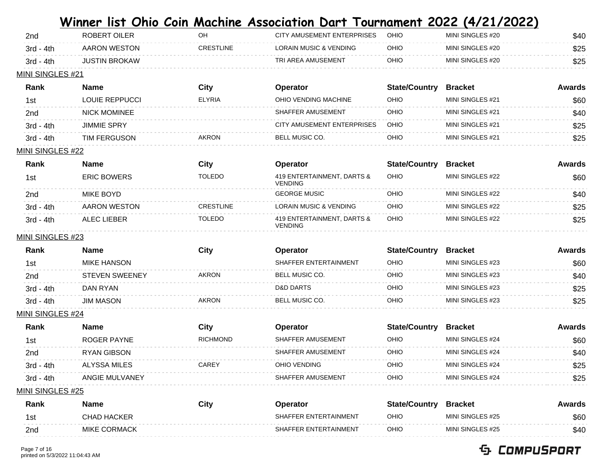| $3rd - 4th$ | <b>JUSTIN BROKAW</b> |                  | TRI AREA AMUSEMENT         | OIHC | MINI SINGLES #20 | \$25 |
|-------------|----------------------|------------------|----------------------------|------|------------------|------|
| 3rd - 4th   | AARON WESTON         | <b>CRESTLINE</b> | LORAIN MUSIC & VENDING     | OHIO | MINI SINGLES #20 | \$25 |
| 2nd         | ROBERT OILER         | ΟF               | CITY AMUSEMENT ENTERPRISES | OHIO | MINI SINGLES #20 | \$40 |

#### MINI SINGLES #21

| Rank        | <b>Name</b>         | City          | <b>Operator</b>            | <b>State/Country</b> | <b>Bracket</b>    | Awards |
|-------------|---------------------|---------------|----------------------------|----------------------|-------------------|--------|
| 1st         | LOUIE REPPUCCI      | <b>ELYRIA</b> | OHIO VENDING MACHINE       | OHIO                 | MINI SINGI FS #21 | \$60   |
| 2nd         | <b>NICK MOMINEE</b> |               | SHAFFER AMUSEMENT          | OHIO                 | MINI SINGI FS #21 | \$40   |
| $3rd - 4th$ | <b>JIMMIE SPRY</b>  |               | CITY AMUSEMENT ENTERPRISES | <b>OHIO</b>          | MINI SINGI FS #21 | \$25   |
| $3rd - 4th$ | TIM FERGUSON        | <b>AKRON</b>  | BELL MUSIC CO.             | OHIO                 | MINI SINGI FS #21 | \$25   |

### MINI SINGLES #22

| Rank            |             | Name               | City             | <b>Operator</b>                              | <b>State/Country</b> | <b>Bracket</b>   | Awards |
|-----------------|-------------|--------------------|------------------|----------------------------------------------|----------------------|------------------|--------|
| 1st             |             | <b>ERIC BOWERS</b> | TOLEDO           | 419 ENTERTAINMENT, DARTS &<br><b>VENDING</b> | OHIO                 | MINI SINGLES #22 | \$60   |
| 2 <sub>nd</sub> |             | MIKE BOYD          |                  | <b>GEORGE MUSIC</b>                          | OHIO                 | MINI SINGLES #22 | \$40   |
|                 | $3rd - 4th$ | AARON WESTON       | <b>CRESTLINE</b> | <b>LORAIN MUSIC &amp; VENDING</b>            | OHIO                 | MINI SINGLES #22 | \$25   |
|                 | $3rd - 4th$ | ALEC LIFBER        | TOLEDO           | 419 ENTERTAINMENT, DARTS &<br><b>VENDING</b> | OHIO                 | MINI SINGLES #22 | \$25   |

### MINI SINGLES #23

| Rank        | Name                  | City         | Operator              | <b>State/Country</b> | <b>Bracket</b>   | Awards |
|-------------|-----------------------|--------------|-----------------------|----------------------|------------------|--------|
| 1st         | MIKE HANSON           |              | SHAFFER ENTERTAINMENT | OHIO                 | MINI SINGLES #23 | \$60   |
| 2nd         | <b>STEVEN SWEENEY</b> | <b>AKRON</b> | <b>BELL MUSIC CO.</b> | OHIO                 | MINI SINGLES #23 | \$40   |
| $3rd - 4th$ | DAN RYAN              |              | <b>D&amp;D DARTS</b>  | OHIO                 | MINI SINGLES #23 | \$25   |
| $3rd - 4th$ | <b>JIM MASON</b>      | <b>AKRON</b> | <b>BELL MUSIC CO.</b> | OHIO                 | MINI SINGLES #23 | \$25   |

### MINI SINGLES #24

| Rank        | Name           | City     | Operator          | <b>State/Country</b> | <b>Bracket</b>    | Awards |
|-------------|----------------|----------|-------------------|----------------------|-------------------|--------|
| 1st         | ROGER PAYNE    | RICHMOND | SHAFFER AMUSEMENT | OHIO                 | MINI SINGLES #24  | \$60   |
| 2nd         | RYAN GIBSON    |          | SHAFFER AMUSEMENT | OHIO                 | MINI SINGLES #24  | \$40   |
| $3rd - 4th$ | ALYSSA MILES   | CARFY    | OHIO VENDING      | OHIO                 | MINI SINGI FS #24 | \$25   |
| $3rd - 4th$ | ANGIE MULVANEY |          | SHAFFER AMUSEMENT | OHIO                 | MINI SINGLES #24  | \$25   |
|             |                |          |                   |                      |                   |        |

### MINI SINGLES #25

| <b>Rank</b> | Name                | City | Operator              | <b>State/Country</b> | Bracket           | Awards |
|-------------|---------------------|------|-----------------------|----------------------|-------------------|--------|
| 1st         | <b>CHAD HACKER</b>  |      | SHAFFER ENTERTAINMENT | OHIO                 | MINI SINGI FS #25 | \$60   |
| 2nd         | <b>MIKE CORMACK</b> |      | SHAFFER ENTERTAINMENT | оніо                 | MINI SINGLES #25  | \$40   |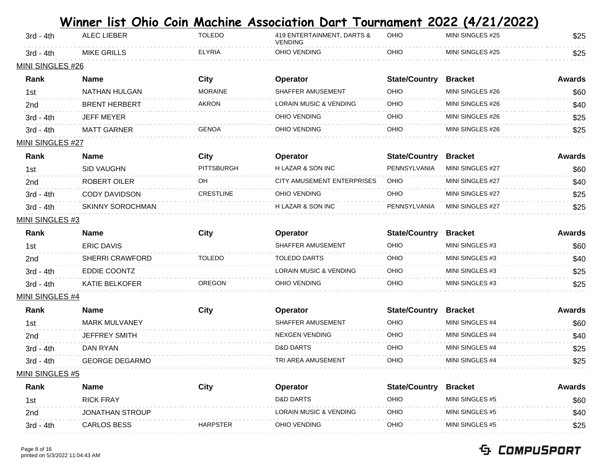|                         |                         |                   | <u>Winner list Ohio Coin Machine Association Dart Tournament 2022 (4/21/2022)</u> |                      |                  |               |
|-------------------------|-------------------------|-------------------|-----------------------------------------------------------------------------------|----------------------|------------------|---------------|
| $3rd - 4th$             | ALEC LIEBER             | <b>TOLEDO</b>     | 419 ENTERTAINMENT, DARTS &<br><b>VENDING</b>                                      | OHIO                 | MINI SINGLES #25 | \$25          |
| $3rd - 4th$             | <b>MIKE GRILLS</b>      | <b>ELYRIA</b>     | OHIO VENDING                                                                      | OHIO                 | MINI SINGLES #25 | \$25          |
| MINI SINGLES #26        |                         |                   |                                                                                   |                      |                  |               |
| Rank                    | <b>Name</b>             | <b>City</b>       | Operator                                                                          | <b>State/Country</b> | <b>Bracket</b>   | <b>Awards</b> |
| 1st                     | NATHAN HULGAN           | <b>MORAINE</b>    | SHAFFER AMUSEMENT                                                                 | OHIO                 | MINI SINGLES #26 | \$60          |
| 2 <sub>nd</sub>         | <b>BRENT HERBERT</b>    | AKRON             | <b>LORAIN MUSIC &amp; VENDING</b>                                                 | OHIO                 | MINI SINGLES #26 | \$40          |
| $3rd - 4th$             | <b>JEFF MEYER</b>       |                   | OHIO VENDING                                                                      | OHIO                 | MINI SINGLES #26 | \$25          |
| $3rd - 4th$             | <b>MATT GARNER</b>      | <b>GENOA</b>      | OHIO VENDING                                                                      | OHIO                 | MINI SINGLES #26 | \$25          |
| <b>MINI SINGLES #27</b> |                         |                   |                                                                                   |                      |                  |               |
| Rank                    | <b>Name</b>             | <b>City</b>       | Operator                                                                          | <b>State/Country</b> | <b>Bracket</b>   | <b>Awards</b> |
| 1st                     | <b>SID VAUGHN</b>       | <b>PITTSBURGH</b> | <b>H LAZAR &amp; SON INC</b>                                                      | PENNSYLVANIA         | MINI SINGLES #27 | \$60          |
| 2 <sub>nd</sub>         | <b>ROBERT OILER</b>     | OH.               | CITY AMUSEMENT ENTERPRISES                                                        | OHIO                 | MINI SINGLES #27 | \$40          |
| $3rd - 4th$             | <b>CODY DAVIDSON</b>    | <b>CRESTLINE</b>  | OHIO VENDING                                                                      | OHIO                 | MINI SINGLES #27 | \$25          |
| $3rd - 4th$             | <b>SKINNY SOROCHMAN</b> |                   | H LAZAR & SON INC                                                                 | PENNSYLVANIA         | MINI SINGLES #27 | \$25          |
| <b>MINI SINGLES #3</b>  |                         |                   |                                                                                   |                      |                  |               |
| Rank                    | <b>Name</b>             | <b>City</b>       | Operator                                                                          | <b>State/Country</b> | <b>Bracket</b>   | <b>Awards</b> |
| 1st                     | <b>ERIC DAVIS</b>       |                   | SHAFFER AMUSEMENT                                                                 | OHIO                 | MINI SINGLES #3  | \$60          |
| 2nd                     | <b>SHERRI CRAWFORD</b>  | <b>TOLEDO</b>     | <b>TOLEDO DARTS</b>                                                               | OHIO                 | MINI SINGLES #3  | \$40          |
| $3rd - 4th$             | EDDIE COONTZ            |                   | <b>LORAIN MUSIC &amp; VENDING</b>                                                 | OHIO                 | MINI SINGLES #3  | \$25          |
| $3rd - 4th$             | <b>KATIE BELKOFER</b>   | <b>OREGON</b>     | OHIO VENDING                                                                      | OHIO                 | MINI SINGLES #3  | \$25          |
| <b>MINI SINGLES #4</b>  |                         |                   |                                                                                   |                      |                  |               |
| Rank                    | <b>Name</b>             | <b>City</b>       | Operator                                                                          | <b>State/Country</b> | <b>Bracket</b>   | <b>Awards</b> |
| 1st                     | <b>MARK MULVANEY</b>    |                   | SHAFFER AMUSEMENT                                                                 | OHIO                 | MINI SINGLES #4  | \$60          |
| 2nd                     | <b>JEFFREY SMITH</b>    |                   | <b>NEXGEN VENDING</b>                                                             | OHIO                 | MINI SINGLES #4  | \$40          |
| $3rd - 4th$             | DAN RYAN                |                   | D&D DARTS                                                                         | OHIO                 | MINI SINGLES #4  | \$25          |
| $3rd - 4th$             | <b>GEORGE DEGARMO</b>   |                   | TRI AREA AMUSEMENT                                                                | OHIO                 | MINI SINGLES #4  | \$25          |
| <b>MINI SINGLES #5</b>  |                         |                   |                                                                                   |                      |                  |               |
| Rank                    | <b>Name</b>             | <b>City</b>       | Operator                                                                          | <b>State/Country</b> | <b>Bracket</b>   | <b>Awards</b> |
| 1st                     | <b>RICK FRAY</b>        |                   | D&D DARTS                                                                         | OHIO                 | MINI SINGLES #5  | \$60          |
| 2nd                     | JONATHAN STROUP         |                   | LORAIN MUSIC & VENDING                                                            | OHIO                 | MINI SINGLES #5  | \$40          |
| $3rd - 4th$             | <b>CARLOS BESS</b>      | <b>HARPSTER</b>   | OHIO VENDING                                                                      | OHIO                 | MINI SINGLES #5  | \$25          |
|                         |                         |                   |                                                                                   |                      |                  |               |

#### Page 8 of 16 printed on 5/3/2022 11:04:43 AM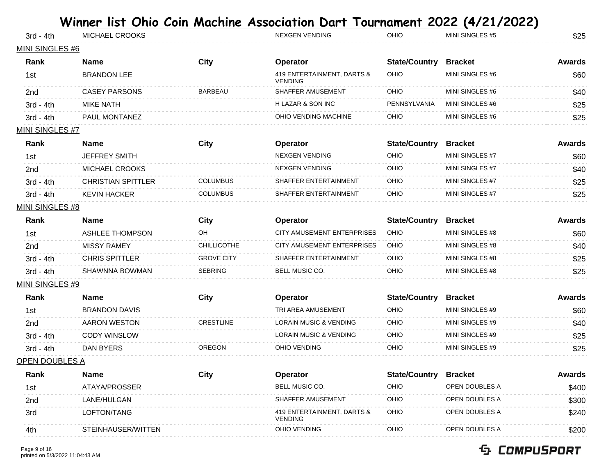|                        |                           |                    | <u> Winner list Ohio Coin Machine Association Dart Tournament 2022 (4/21/2022)</u> |                      |                 |               |
|------------------------|---------------------------|--------------------|------------------------------------------------------------------------------------|----------------------|-----------------|---------------|
| $3rd - 4th$            | MICHAEL CROOKS            |                    | <b>NEXGEN VENDING</b>                                                              | OHIO                 | MINI SINGLES #5 | \$25          |
| MINI SINGLES #6        |                           |                    |                                                                                    |                      |                 |               |
| Rank                   | <b>Name</b>               | <b>City</b>        | Operator                                                                           | <b>State/Country</b> | <b>Bracket</b>  | <b>Awards</b> |
| 1st                    | <b>BRANDON LEE</b>        |                    | 419 ENTERTAINMENT, DARTS &<br><b>VENDING</b>                                       | OHIO                 | MINI SINGLES #6 | \$60          |
| 2nd                    | <b>CASEY PARSONS</b>      | <b>BARBEAU</b>     | SHAFFER AMUSEMENT                                                                  | OHIO                 | MINI SINGLES #6 | \$40          |
| $3rd - 4th$            | <b>MIKE NATH</b>          |                    | H LAZAR & SON INC                                                                  | PENNSYLVANIA         | MINI SINGLES #6 | \$25          |
| $3rd - 4th$            | PAUL MONTANEZ             |                    | OHIO VENDING MACHINE                                                               | OHIO                 | MINI SINGLES #6 | \$25          |
| <u>MINI SINGLES #7</u> |                           |                    |                                                                                    |                      |                 |               |
| Rank                   | <b>Name</b>               | <b>City</b>        | Operator                                                                           | <b>State/Country</b> | <b>Bracket</b>  | <b>Awards</b> |
| 1st                    | <b>JEFFREY SMITH</b>      |                    | <b>NEXGEN VENDING</b>                                                              | OHIO                 | MINI SINGLES #7 | \$60          |
| 2nd                    | MICHAEL CROOKS            |                    | <b>NEXGEN VENDING</b>                                                              | OHIO                 | MINI SINGLES #7 | \$40          |
| $3rd - 4th$            | <b>CHRISTIAN SPITTLER</b> | <b>COLUMBUS</b>    | SHAFFER ENTERTAINMENT                                                              | OHIO                 | MINI SINGLES #7 | \$25          |
| $3rd - 4th$            | <b>KEVIN HACKER</b>       | <b>COLUMBUS</b>    | SHAFFER ENTERTAINMENT                                                              | OHIO                 | MINI SINGLES #7 | \$25          |
| <u>MINI SINGLES #8</u> |                           |                    |                                                                                    |                      |                 |               |
| Rank                   | <b>Name</b>               | City               | Operator                                                                           | <b>State/Country</b> | <b>Bracket</b>  | <b>Awards</b> |
| 1st                    | <b>ASHLEE THOMPSON</b>    | OH                 | CITY AMUSEMENT ENTERPRISES                                                         | OHIO                 | MINI SINGLES #8 | \$60          |
| 2 <sub>nd</sub>        | <b>MISSY RAMEY</b>        | <b>CHILLICOTHE</b> | CITY AMUSEMENT ENTERPRISES                                                         | OHIO                 | MINI SINGLES #8 | \$40          |
| $3rd - 4th$            | <b>CHRIS SPITTLER</b>     | <b>GROVE CITY</b>  | SHAFFER ENTERTAINMENT                                                              | OHIO                 | MINI SINGLES #8 | \$25          |
| $3rd - 4th$            | SHAWNNA BOWMAN            | <b>SEBRING</b>     | <b>BELL MUSIC CO.</b>                                                              | OHIO                 | MINI SINGLES #8 | \$25          |
| <u>MINI SINGLES #9</u> |                           |                    |                                                                                    |                      |                 |               |
| Rank                   | <b>Name</b>               | <b>City</b>        | Operator                                                                           | <b>State/Country</b> | <b>Bracket</b>  | <b>Awards</b> |
| 1st                    | <b>BRANDON DAVIS</b>      |                    | TRI AREA AMUSEMENT                                                                 | OHIO                 | MINI SINGLES #9 | \$60          |
| 2nd                    | <b>AARON WESTON</b>       | <b>CRESTLINE</b>   | <b>LORAIN MUSIC &amp; VENDING</b>                                                  | OHIO                 | MINI SINGLES #9 | \$40          |
| $3rd - 4th$            | <b>CODY WINSLOW</b>       |                    | <b>LORAIN MUSIC &amp; VENDING</b>                                                  | OHIO                 | MINI SINGLES #9 | \$25          |
| 3rd - 4th              | DAN BYERS                 | <b>OREGON</b>      | OHIO VENDING                                                                       | OHIO                 | MINI SINGLES #9 | \$25          |
| <u>OPEN DOUBLES A</u>  |                           |                    |                                                                                    |                      |                 |               |
| Rank                   | <b>Name</b>               | <b>City</b>        | Operator                                                                           | <b>State/Country</b> | <b>Bracket</b>  | <b>Awards</b> |
| 1st                    | ATAYA/PROSSER             |                    | BELL MUSIC CO.                                                                     | OHIO                 | OPEN DOUBLES A  | \$400         |
| 2nd                    | LANE/HULGAN               |                    | SHAFFER AMUSEMENT                                                                  | OHIO                 | OPEN DOUBLES A  | \$300         |
| 3rd                    | LOFTON/TANG               |                    | 419 ENTERTAINMENT, DARTS &<br><b>VENDING</b>                                       | OHIO                 | OPEN DOUBLES A  | \$240         |
| 4th                    | STEINHAUSER/WITTEN        |                    | OHIO VENDING                                                                       | OHIO                 | OPEN DOUBLES A  | \$200         |
|                        |                           |                    |                                                                                    |                      |                 |               |

### Page 9 of 16 printed on 5/3/2022 11:04:43 AM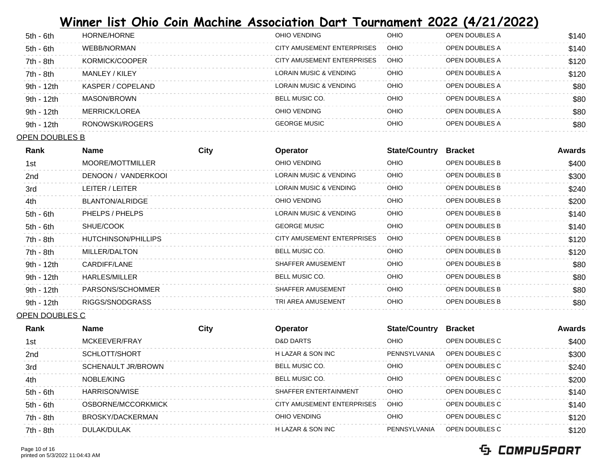| 5th - 6th   | HORNE/HORNE       | OHIO VENDING               | OHIO        | OPEN DOUBLES A        | \$140 |
|-------------|-------------------|----------------------------|-------------|-----------------------|-------|
| 5th - 6th   | WEBB/NORMAN       | CITY AMUSEMENT ENTERPRISES | OHIO        | OPEN DOUBLES A        | \$140 |
| 7th - 8th   | KORMICK/COOPER    | CITY AMUSEMENT ENTERPRISES | <b>OHIO</b> | OPEN DOUBLES A        | \$120 |
| $7th - 8th$ | MANLEY / KILEY    | LORAIN MUSIC & VENDING     | OHIO        | OPEN DOUBLES A        | \$120 |
| 9th - 12th  | KASPER / COPELAND | LORAIN MUSIC & VENDING     | OHIO        | OPEN DOUBLES A        | \$80  |
| 9th - 12th  | MASON/BROWN       | BELL MUSIC CO.             | OHIO        | OPEN DOUBLES A        | \$80  |
| 9th - 12th  | MERRICK/LOREA     | OHIO VENDING               | OHIO        | OPEN DOUBLES A        | \$80  |
| 9th - 12th  | RONOWSKI/ROGERS   | <b>GEORGE MUSIC</b>        | OHIO        | <b>OPEN DOUBLES A</b> | \$80  |

#### OPEN DOUBLES B

| Rank        | <b>Name</b>         | City | <b>Operator</b>            | <b>State/Country</b> | <b>Bracket</b>        | Awards |
|-------------|---------------------|------|----------------------------|----------------------|-----------------------|--------|
| 1st         | MOORE/MOTTMILLER    |      | OHIO VENDING               | <b>OHIO</b>          | OPEN DOUBLES B        | \$400  |
| 2nd         | DENOON / VANDERKOOL |      | LORAIN MUSIC & VENDING     | <b>OHIO</b>          | <b>OPEN DOUBLES B</b> | \$300  |
| 3rd         | LEITER / LEITER     |      | LORAIN MUSIC & VENDING     | OHIO                 | OPEN DOUBLES B        | \$240  |
| 4th         | BLANTON/ALRIDGE     |      | OHIO VENDING               | OHIO                 | <b>OPEN DOUBLES B</b> | \$200  |
| $5th - 6th$ | PHELPS / PHELPS     |      | LORAIN MUSIC & VENDING     | <b>OHIO</b>          | <b>OPEN DOUBLES B</b> | \$140  |
| $5th - 6th$ | SHUE/COOK           |      | <b>GEORGE MUSIC</b>        | OHIO                 | <b>OPEN DOUBLES B</b> | \$140  |
| 7th - 8th   | HUTCHINSON/PHILLIPS |      | CITY AMUSEMENT ENTERPRISES | <b>OHIO</b>          | OPEN DOUBLES B        | \$120  |
| 7th - 8th   | MILLER/DALTON       |      | <b>BELL MUSIC CO.</b>      | OHIO                 | <b>OPEN DOUBLES B</b> | \$120  |
| 9th - 12th  | CARDIFF/LANE        |      | SHAFFER AMUSEMENT          | OHIO                 | <b>OPEN DOUBLES B</b> | \$80   |
| 9th - 12th  | HARLES/MILLER       |      | <b>BELL MUSIC CO.</b>      | OHIO                 | <b>OPEN DOUBLES B</b> | \$80   |
| 9th - 12th  | PARSONS/SCHOMMER    |      | SHAFFER AMUSEMENT          | OHIO                 | <b>OPEN DOUBLES B</b> | \$80   |
| 9th - 12th  | RIGGS/SNODGRASS     |      | TRI AREA AMUSEMENT         | OHIO                 | <b>OPEN DOUBLES B</b> | \$80   |
|             |                     |      |                            |                      |                       |        |

OPEN DOUBLES C

| Rank        | <b>Name</b>          | City | Operator                   | <b>State/Country</b> | <b>Bracket</b> | Awards |
|-------------|----------------------|------|----------------------------|----------------------|----------------|--------|
| 1st         | MCKFFVFR/FRAY        |      | <b>D&amp;D DARTS</b>       | OHIO                 | OPEN DOUBLES C | \$400  |
| 2nd         | SCHLOTT/SHORT        |      | H LAZAR & SON INC          | PENNSYLVANIA         | OPEN DOUBLES C | \$300  |
| 3rd         | SCHENAULT JR/BROWN   |      | <b>BELL MUSIC CO.</b>      | OHIO                 | OPEN DOUBLES C | \$240  |
| 4th         | NOBLE/KING           |      | <b>BELL MUSIC CO.</b>      | OHIO                 | OPEN DOUBLES C | \$200  |
| $5th - 6th$ | <b>HARRISON/WISE</b> |      | SHAFFFR ENTERTAINMENT      | OHIO                 | OPEN DOUBLES C | \$140  |
| $5th - 6th$ | OSBORNE/MCCORKMICK   |      | CITY AMUSEMENT ENTERPRISES | OHIO                 | OPEN DOUBLES C | \$140  |
| 7th - 8th   | BROSKY/DACKERMAN     |      | OHIO VENDING               | OHIO                 | OPEN DOUBLES C | \$120  |
| 7th - 8th   | DULAK/DULAK          |      | H LAZAR & SON INC          | PFNNSYI VANIA        | OPEN DOUBLES C | \$120  |

#### Page 10 of 16 printed on 5/3/2022 11:04:43 AM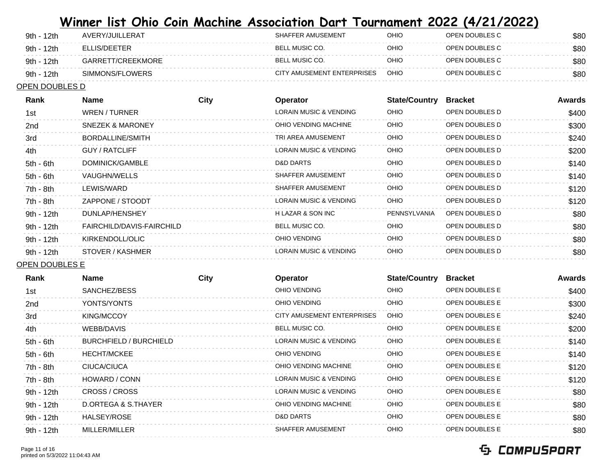| 9th - 12th | AVERY/JUILLERAT   | SHAFFER AMUSEMENT          | OHIO | OPEN DOUBLES C | \$80 |
|------------|-------------------|----------------------------|------|----------------|------|
| 9th - 12th | FLUS/DEFTER       | BELL MUSIC CO.             | OHIO | OPEN DOUBLES C | \$80 |
| 9th - 12th | GARRETT/CREEKMORE | BELL MUSIC CO.             | OHIO | OPEN DOUBLES C | \$80 |
| 9th - 12th | SIMMONS/FLOWERS   | CITY AMUSEMENT ENTERPRISES | OHIO | OPEN DOUBLES C | \$80 |

### OPEN DOUBLES D

| Rank            | <b>Name</b>                 | City | <b>Operator</b>                   | <b>State/Country</b> | <b>Bracket</b> | Awards |
|-----------------|-----------------------------|------|-----------------------------------|----------------------|----------------|--------|
| 1st             | WREN / TURNER               |      | <b>LORAIN MUSIC &amp; VENDING</b> | <b>OHIO</b>          | OPEN DOUBLES D | \$400  |
| 2 <sub>nd</sub> | <b>SNEZEK &amp; MARONEY</b> |      | OHIO VENDING MACHINE              | <b>OHIO</b>          | OPEN DOUBLES D | \$300  |
| 3rd             | BORDALLINE/SMITH            |      | TRI AREA AMUSEMENT                | <b>OHIO</b>          | OPEN DOUBLES D | \$240  |
| 4th             | GUY / RATCLIFF              |      | <b>LORAIN MUSIC &amp; VENDING</b> | <b>OHIO</b>          | OPEN DOUBLES D | \$200  |
| $5th - 6th$     | DOMINICK/GAMBLE             |      | D&D DARTS                         | <b>OHIO</b>          | OPEN DOUBLES D | \$140  |
| $5th - 6th$     | VAUGHN/WELLS                |      | SHAFFER AMUSEMENT                 | <b>OHIO</b>          | OPEN DOUBLES D | \$140  |
| 7th - 8th       | LEWIS/WARD                  |      | SHAFFER AMUSEMENT                 | <b>OHIO</b>          | OPEN DOUBLES D | \$120  |
| 7th - 8th       | ZAPPONE / STOODT            |      | <b>LORAIN MUSIC &amp; VENDING</b> | <b>OHIO</b>          | OPEN DOUBLES D | \$120  |
| 9th - 12th      | DUNLAP/HENSHEY              |      | H LAZAR & SON INC                 | PENNSYLVANIA         | OPEN DOUBLES D | \$80   |
| 9th - 12th      | FAIRCHILD/DAVIS-FAIRCHILD   |      | BELL MUSIC CO.                    | <b>OHIO</b>          | OPEN DOUBLES D | \$80   |
| 9th - 12th      | KIRKENDOLL/OLIC             |      | OHIO VENDING                      | OHIO                 | OPEN DOUBLES D | \$80   |
| 9th - 12th      | STOVER / KASHMER            |      | <b>LORAIN MUSIC &amp; VENDING</b> | OHIO                 | OPEN DOUBLES D | \$80   |
|                 |                             |      |                                   |                      |                |        |

### OPEN DOUBLES E

| Rank        | <b>Name</b>                   | <b>City</b> | Operator                   | <b>State/Country</b> | <b>Bracket</b>        | Awards |
|-------------|-------------------------------|-------------|----------------------------|----------------------|-----------------------|--------|
| 1st         | SANCHEZ/BESS                  |             | OHIO VENDING               | <b>OHIO</b>          | <b>OPEN DOUBLES E</b> | \$400  |
| 2nd         | YONTS/YONTS                   |             | OHIO VENDING               | OHIO                 | <b>OPEN DOUBLES E</b> | \$300  |
| 3rd         | KING/MCCOY                    |             | CITY AMUSEMENT ENTERPRISES | <b>OHIO</b>          | OPEN DOUBLES E        | \$240  |
| 4th         | WEBB/DAVIS                    |             | BELL MUSIC CO.             | <b>OHIO</b>          | <b>OPEN DOUBLES E</b> | \$200  |
| $5th - 6th$ | <b>BURCHFIELD / BURCHIELD</b> |             | LORAIN MUSIC & VENDING     | OHIO                 | <b>OPEN DOUBLES E</b> | \$140  |
| $5th - 6th$ | <b>HECHT/MCKEE</b>            |             | OHIO VENDING               | <b>OHIO</b>          | <b>OPEN DOUBLES E</b> | \$140  |
| 7th - 8th   | CIUCA/CIUCA                   |             | OHIO VENDING MACHINE       | <b>OHIO</b>          | <b>OPEN DOUBLES E</b> | \$120  |
| $7th - 8th$ | HOWARD / CONN                 |             | LORAIN MUSIC & VENDING     | <b>OHIO</b>          | <b>OPEN DOUBLES E</b> | \$120  |
| 9th - 12th  | CROSS / CROSS                 |             | LORAIN MUSIC & VENDING     | <b>OHIO</b>          | <b>OPEN DOUBLES E</b> | \$80   |
| 9th - 12th  | D.ORTEGA & S.THAYER           |             | OHIO VENDING MACHINE       | OHIO                 | <b>OPEN DOUBLES E</b> | \$80   |
| 9th - 12th  | HALSEY/ROSE                   |             | D&D DARTS                  | OHIO                 | OPEN DOUBLES E        | \$80   |
| 9th - 12th  | MILLER/MILLER                 |             | SHAFFER AMUSEMENT          | OHIO                 | <b>OPEN DOUBLES E</b> | \$80   |
|             |                               |             |                            |                      |                       |        |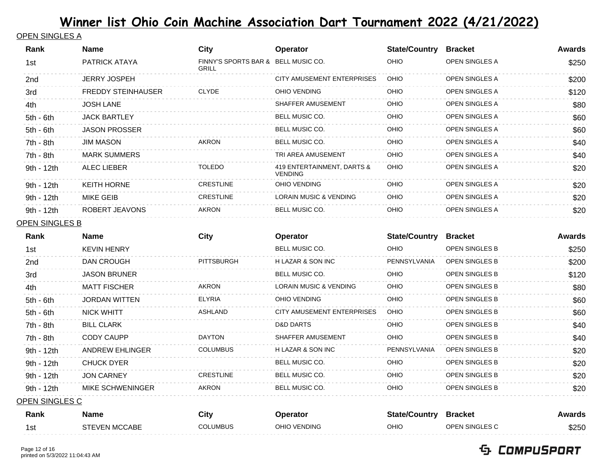### OPEN SINGLES A

| Rank           | <b>Name</b>               | <b>City</b>                                  | Operator                                     | <b>State/Country</b> | <b>Bracket</b>        | <b>Awards</b> |
|----------------|---------------------------|----------------------------------------------|----------------------------------------------|----------------------|-----------------------|---------------|
| 1st            | PATRICK ATAYA             | FINNY'S SPORTS BAR & BELL MUSIC CO.<br>GRILL |                                              | OHIO                 | OPEN SINGLES A        | \$250         |
| 2nd            | JERRY JOSPEH              |                                              | CITY AMUSEMENT ENTERPRISES                   | OHIO                 | OPEN SINGLES A        | \$200         |
| 3rd            | <b>FREDDY STEINHAUSER</b> | <b>CLYDE</b>                                 | OHIO VENDING                                 | OHIO                 | OPEN SINGLES A        | \$120         |
| 4th            | <b>JOSH LANE</b>          |                                              | SHAFFER AMUSEMENT                            | OHIO                 | OPEN SINGLES A        | \$80          |
| 5th - 6th      | <b>JACK BARTLEY</b>       |                                              | BELL MUSIC CO.                               | OHIO                 | OPEN SINGLES A        | \$60          |
| $5th - 6th$    | <b>JASON PROSSER</b>      |                                              | BELL MUSIC CO.                               | OHIO                 | OPEN SINGLES A        | \$60          |
| 7th - 8th      | <b>JIM MASON</b>          | <b>AKRON</b>                                 | BELL MUSIC CO.                               | OHIO                 | OPEN SINGLES A        | \$40          |
| 7th - 8th      | <b>MARK SUMMERS</b>       |                                              | TRI AREA AMUSEMENT                           | OHIO                 | OPEN SINGLES A        | \$40          |
| 9th - 12th     | <b>ALEC LIEBER</b>        | <b>TOLEDO</b>                                | 419 ENTERTAINMENT, DARTS &<br><b>VENDING</b> | OHIO                 | OPEN SINGLES A        | \$20          |
| 9th - 12th     | <b>KEITH HORNE</b>        | <b>CRESTLINE</b>                             | OHIO VENDING                                 | OHIO                 | OPEN SINGLES A        | \$20          |
| 9th - 12th     | <b>MIKE GEIB</b>          | <b>CRESTLINE</b>                             | LORAIN MUSIC & VENDING                       | OHIO                 | OPEN SINGLES A        | \$20          |
| 9th - 12th     | ROBERT JEAVONS            | AKRON                                        | BELL MUSIC CO.                               | OHIO                 | OPEN SINGLES A        | \$20          |
| OPEN SINGLES B |                           |                                              |                                              |                      |                       |               |
| Rank           | <b>Name</b>               | <b>City</b>                                  | Operator                                     | <b>State/Country</b> | <b>Bracket</b>        | <b>Awards</b> |
| 1st            | <b>KEVIN HENRY</b>        |                                              | BELL MUSIC CO.                               | OHIO                 | OPEN SINGLES B        | \$250         |
| 2nd            | DAN CROUGH                | <b>PITTSBURGH</b>                            | H LAZAR & SON INC                            | PENNSYLVANIA         | OPEN SINGLES B        | \$200         |
| 3rd            | <b>JASON BRUNER</b>       |                                              | BELL MUSIC CO.                               | OHIO                 | OPEN SINGLES B        | \$120         |
| 4th            | <b>MATT FISCHER</b>       | AKRON                                        | LORAIN MUSIC & VENDING                       | OHIO                 | OPEN SINGLES B        | \$80          |
| $5th - 6th$    | <b>JORDAN WITTEN</b>      | <b>ELYRIA</b>                                | OHIO VENDING                                 | OHIO                 | OPEN SINGLES B        | \$60          |
| $5th - 6th$    | <b>NICK WHITT</b>         | <b>ASHLAND</b>                               | CITY AMUSEMENT ENTERPRISES                   | OHIO                 | OPEN SINGLES B        | \$60          |
| 7th - 8th      | <b>BILL CLARK</b>         |                                              | <b>D&amp;D DARTS</b>                         | OHIO                 | OPEN SINGLES B        | \$40          |
| 7th - 8th      | <b>CODY CAUPP</b>         | <b>DAYTON</b>                                | SHAFFER AMUSEMENT                            | OHIO                 | OPEN SINGLES B        | \$40          |
| 9th - 12th     | <b>ANDREW EHLINGER</b>    | <b>COLUMBUS</b>                              | H LAZAR & SON INC                            | PENNSYLVANIA         | OPEN SINGLES B        | \$20          |
| 9th - 12th     | <b>CHUCK DYER</b>         |                                              | BELL MUSIC CO.                               | OHIO                 | OPEN SINGLES B        | \$20          |
| 9th - 12th     | <b>JON CARNEY</b>         | <b>CRESTLINE</b>                             | BELL MUSIC CO.                               | OHIO                 | OPEN SINGLES B        | \$20          |
| 9th - 12th     | MIKE SCHWENINGER          | <b>AKRON</b>                                 | <b>BELL MUSIC CO.</b>                        | OHIO                 | <b>OPEN SINGLES B</b> | \$20          |

OPEN SINGLES C

| Rank | Name                 | City     | Operator     | <b>State/Country</b> | <b>Bracket</b>        | Awards |
|------|----------------------|----------|--------------|----------------------|-----------------------|--------|
| 1st  | <b>STEVEN MCCABE</b> | COLUMBUS | OHIO VENDING | OHIO                 | <b>OPEN SINGLES C</b> | \$250  |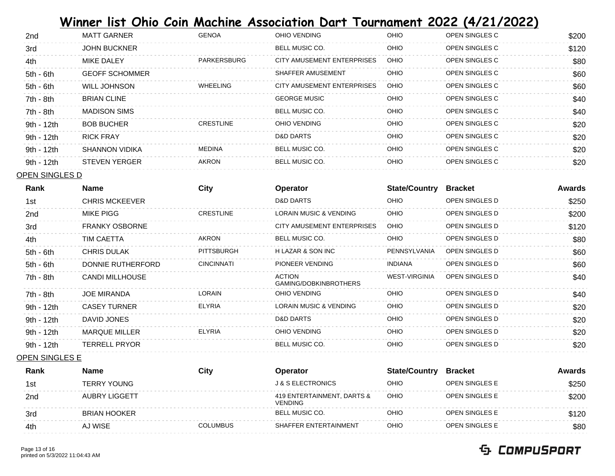| 2nd        | <b>MATT GARNER</b>    | <b>GENOA</b>     | OHIO VENDING               | OHIO        | OPEN SINGLES C | \$200 |
|------------|-----------------------|------------------|----------------------------|-------------|----------------|-------|
| 3rd        | <b>JOHN BUCKNER</b>   |                  | BELL MUSIC CO.             | OHIO        | OPEN SINGLES C | \$120 |
| 4th        | MIKE DALEY            | PARKERSBURG      | CITY AMUSEMENT ENTERPRISES | OHIO        | OPEN SINGLES C | \$80  |
| 5th - 6th  | <b>GEOFF SCHOMMER</b> |                  | SHAFFER AMUSEMENT          | OHIO        | OPEN SINGLES C | \$60  |
| 5th - 6th  | WILL JOHNSON          | <b>WHEELING</b>  | CITY AMUSEMENT ENTERPRISES | <b>OHIO</b> | OPEN SINGLES C | \$60  |
| 7th - 8th  | <b>BRIAN CLINE</b>    |                  | <b>GEORGE MUSIC</b>        | OHIO        | OPEN SINGLES C | \$40  |
| 7th - 8th  | <b>MADISON SIMS</b>   |                  | BELL MUSIC CO.             | OHIO        | OPEN SINGLES C | \$40  |
| 9th - 12th | <b>BOB BUCHER</b>     | <b>CRESTLINE</b> | OHIO VENDING               | OHIO        | OPEN SINGLES C | \$20  |
| 9th - 12th | RICK FRAY             |                  | D&D DARTS                  | OHIO        | OPEN SINGLES C | \$20  |
| 9th - 12th | SHANNON VIDIKA        | MEDINA           | BELL MUSIC CO.             | OHIO        | OPEN SINGLES C | \$20  |
| 9th - 12th | <b>STEVEN YERGER</b>  | <b>AKRON</b>     | <b>BELL MUSIC CO.</b>      | OHIO        | OPEN SINGLES C | \$20  |

OPEN SINGLES D

| Rank            | <b>Name</b>           | City              | Operator                               | <b>State/Country</b> | <b>Bracket</b> | Awards |
|-----------------|-----------------------|-------------------|----------------------------------------|----------------------|----------------|--------|
| 1st             | <b>CHRIS MCKEEVER</b> |                   | D&D DARTS                              | <b>OHIO</b>          | OPEN SINGLES D | \$250  |
| 2 <sub>nd</sub> | MIKE PIGG             | <b>CRESTLINE</b>  | LORAIN MUSIC & VENDING                 | OHIO                 | OPEN SINGLES D | \$200  |
| 3rd             | <b>FRANKY OSBORNE</b> |                   | CITY AMUSEMENT ENTERPRISES             | <b>OHIO</b>          | OPEN SINGLES D | \$120  |
| 4th             | TIM CAETTA            | <b>AKRON</b>      | BELL MUSIC CO.                         | <b>OHIO</b>          | OPEN SINGLES D | \$80   |
| $5th - 6th$     | <b>CHRIS DULAK</b>    | <b>PITTSBURGH</b> | H LAZAR & SON INC                      | PENNSYLVANIA         | OPEN SINGLES D | \$60   |
| $5th - 6th$     | DONNIE RUTHERFORD     | <b>CINCINNATI</b> | PIONEER VENDING                        | INDIANA              | OPEN SINGLES D | \$60   |
| 7th - 8th       | CANDI MILLHOUSE       |                   | <b>ACTION</b><br>GAMING/DOBKINBROTHERS | WEST-VIRGINIA        | OPEN SINGLES D | \$40   |
| $7th - 8th$     | <b>JOE MIRANDA</b>    | <b>LORAIN</b>     | OHIO VENDING                           | <b>OHIO</b>          | OPEN SINGLES D | \$40   |
| 9th - 12th      | <b>CASEY TURNER</b>   | <b>ELYRIA</b>     | LORAIN MUSIC & VENDING                 | OHIO                 | OPEN SINGLES D | \$20   |
| 9th - 12th      | DAVID JONES           |                   | D&D DARTS                              | <b>OHIO</b>          | OPEN SINGLES D | \$20   |
| 9th - 12th      | <b>MARQUE MILLER</b>  | <b>ELYRIA</b>     | OHIO VENDING                           | <b>OHIO</b>          | OPEN SINGLES D | \$20   |
| 9th - 12th      | <b>TERRELL PRYOR</b>  |                   | BELL MUSIC CO.                         | OHIO                 | OPEN SINGLES D | \$20   |
|                 |                       |                   |                                        |                      |                |        |

OPEN SINGLES E

| Rank            | Name                 | City            | Operator                                     | <b>State/Country</b> | <b>Bracket</b>        | Awards |
|-----------------|----------------------|-----------------|----------------------------------------------|----------------------|-----------------------|--------|
| 1st             | TERRY YOUNG          |                 | <b>J &amp; S ELECTRONICS</b>                 | OHIO                 | <b>OPEN SINGLES E</b> | \$250  |
| 2 <sub>nd</sub> | <b>AUBRY LIGGETT</b> |                 | 419 ENTERTAINMENT, DARTS &<br><b>VENDING</b> | OHIO                 | <b>OPEN SINGLES E</b> | \$200  |
| 3rd             | <b>BRIAN HOOKER</b>  |                 | <b>BELL MUSIC CO.</b>                        | OHIO                 | <b>OPEN SINGLES E</b> | \$120  |
| 4th             | AJ WISE              | <b>COLUMBUS</b> | SHAFFER ENTERTAINMENT                        | OHIO                 | <b>OPEN SINGLES E</b> | \$80   |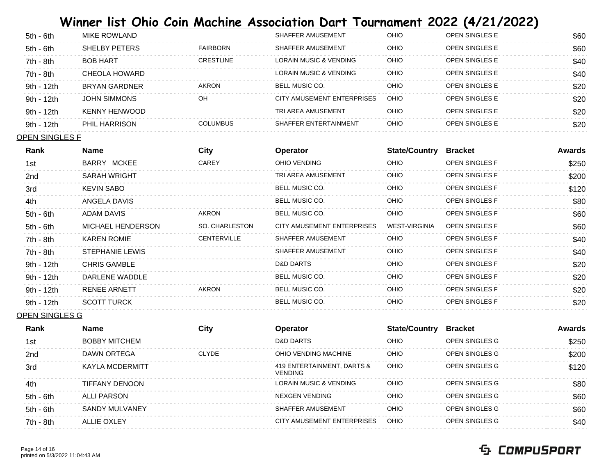| $5th - 6th$  | MIKE ROWLAND        |                  | SHAFFER AMUSEMENT          | OHIO | <b>OPEN SINGLES E</b> | \$60 |
|--------------|---------------------|------------------|----------------------------|------|-----------------------|------|
| 5th - 6th    | SHELBY PETERS       | FAIRBORN         | SHAFFER AMUSEMENT          | OHIO | <b>OPEN SINGLES E</b> | \$60 |
| 7th - 8th    | <b>BOB HART</b>     | <b>CRESTLINE</b> | LORAIN MUSIC & VENDING     | OHIO | OPEN SINGLES F        | \$40 |
| 7th - 8th    | CHEOLA HOWARD       |                  | LORAIN MUSIC & VENDING     | OHIO | OPEN SINGLES F        | \$40 |
| 9th - 12th   | BRYAN GARDNER       | AKRON            | BELL MUSIC CO.             | OHIO | <b>OPEN SINGLES E</b> | \$20 |
| 9th - 12th   | <b>JOHN SIMMONS</b> | OH               | CITY AMUSEMENT ENTERPRISES | OHIO | OPEN SINGLES F        | \$20 |
| $9th - 12th$ | KENNY HENWOOD       |                  | TRI AREA AMUSEMENT         | OHIO | OPEN SINGLES F        | \$20 |
| 9th - 12th   | PHIL HARRISON       | <b>COLUMBUS</b>  | SHAFFER ENTERTAINMENT      | OHIO | <b>OPEN SINGLES E</b> | \$20 |

#### OPEN SINGLES F

| Rank            | <b>Name</b>         | City               | <b>Operator</b>            | <b>State/Country</b> | <b>Bracket</b>        | <b>Awards</b> |
|-----------------|---------------------|--------------------|----------------------------|----------------------|-----------------------|---------------|
| 1st             | BARRY MCKEE         | CAREY              | OHIO VENDING               | OHIO                 | <b>OPEN SINGLES F</b> | \$250         |
| 2 <sub>nd</sub> | <b>SARAH WRIGHT</b> |                    | TRI AREA AMUSEMENT         | OHIO                 | <b>OPEN SINGLES F</b> | \$200         |
| 3rd             | KEVIN SABO          |                    | <b>BELL MUSIC CO.</b>      | <b>OHIO</b>          | <b>OPEN SINGLES F</b> | \$120         |
| 4th             | ANGELA DAVIS        |                    | BELL MUSIC CO.             | <b>OHIO</b>          | <b>OPEN SINGLES F</b> | \$80          |
| $5th - 6th$     | ADAM DAVIS          | <b>AKRON</b>       | BELL MUSIC CO.             | <b>OHIO</b>          | <b>OPEN SINGLES F</b> | \$60          |
| $5th - 6th$     | MICHAEL HENDERSON   | SO. CHARLESTON     | CITY AMUSEMENT ENTERPRISES | <b>WEST-VIRGINIA</b> | <b>OPEN SINGLES F</b> | \$60          |
| 7th - 8th       | <b>KAREN ROMIE</b>  | <b>CENTERVILLE</b> | SHAFFER AMUSEMENT          | OHIO                 | <b>OPEN SINGLES F</b> | \$40          |
| 7th - 8th       | STEPHANIE LEWIS     |                    | SHAFFER AMUSEMENT          | OHIO                 | <b>OPEN SINGLES F</b> | \$40          |
| 9th - 12th      | <b>CHRIS GAMBLE</b> |                    | D&D DARTS                  | OHIO                 | <b>OPEN SINGLES F</b> | \$20          |
| 9th - 12th      | DARLENE WADDLE      |                    | <b>BELL MUSIC CO.</b>      | <b>OHIO</b>          | <b>OPEN SINGLES F</b> | \$20          |
| 9th - 12th      | RENEE ARNETT        | AKRON              | BELL MUSIC CO.             | <b>OHIO</b>          | <b>OPEN SINGLES F</b> | \$20          |
| 9th - 12th      | <b>SCOTT TURCK</b>  |                    | <b>BELL MUSIC CO.</b>      | <b>OHIO</b>          | <b>OPEN SINGLES F</b> | \$20          |
|                 |                     |                    |                            |                      |                       |               |

OPEN SINGLES G

| Rank        | <b>Name</b>          | City         | <b>Operator</b>                              | <b>State/Country</b> | <b>Bracket</b> | <b>Awards</b> |
|-------------|----------------------|--------------|----------------------------------------------|----------------------|----------------|---------------|
| 1st         | <b>BOBBY MITCHEM</b> |              | <b>D&amp;D DARTS</b>                         | OHIO                 | OPEN SINGLES G | \$250         |
| 2nd         | DAWN ORTEGA          | <b>CLYDE</b> | OHIO VENDING MACHINE                         | <b>OHIO</b>          | OPEN SINGLES G | \$200         |
| 3rd         | KAYLA MCDERMITT      |              | 419 ENTERTAINMENT, DARTS &<br><b>VENDING</b> | OHIO                 | OPEN SINGLES G | \$120         |
| 4th         | TIFFANY DENOON       |              | LORAIN MUSIC & VENDING                       | OHIO                 | OPEN SINGLES G | \$80          |
| $5th - 6th$ | ALLI PARSON          |              | NEXGEN VENDING                               | <b>OHIO</b>          | OPEN SINGLES G | \$60          |
| $5th - 6th$ | SANDY MULVANEY       |              | SHAFFER AMUSEMENT                            | OHIO                 | OPEN SINGLES G | \$60          |
| $7th - 8th$ | ALLIE OXLEY          |              | CITY AMUSEMENT ENTERPRISES                   | <b>OHIO</b>          | OPEN SINGLES G | \$40          |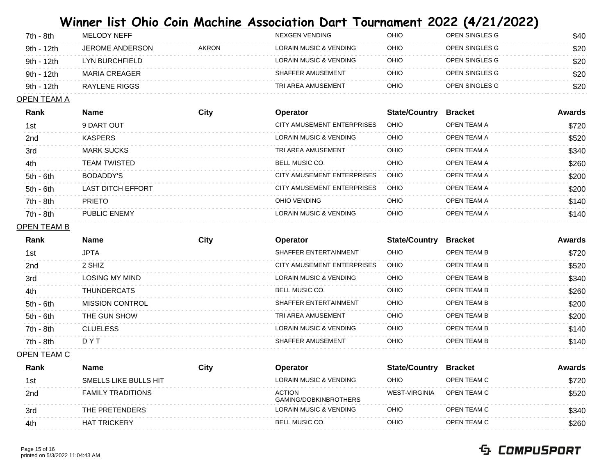| 7th - 8th  | MELODY NEFF     |              | NEXGEN VENDING                    | OHIO | OPEN SINGLES G | \$40 |
|------------|-----------------|--------------|-----------------------------------|------|----------------|------|
| 9th - 12th | JEROME ANDERSON | <b>AKRON</b> | <b>LORAIN MUSIC &amp; VENDING</b> | OHIO | OPEN SINGLES G | \$20 |
| 9th - 12th | LYN BURCHFIELD  |              | LORAIN MUSIC & VENDING            | OHIO | OPEN SINGLES G | \$20 |
| 9th - 12th | MARIA CREAGER   |              | SHAFFER AMUSEMENT                 | OHIO | OPEN SINGLES G | \$20 |
| 9th - 12th | RAYLENE RIGGS   |              | TRI AREA AMUSEMENT                | OHIO | OPEN SINGLES G | \$20 |

### OPEN TEAM A

| Rank        | <b>Name</b>              | Citv | <b>Operator</b>                   | <b>State/Country</b> | <b>Bracket</b> | Awards |
|-------------|--------------------------|------|-----------------------------------|----------------------|----------------|--------|
| 1st         | 9 DART OUT               |      | CITY AMUSEMENT ENTERPRISES        | <b>OHIO</b>          | OPEN TEAM A    | \$720  |
| 2nd         | <b>KASPERS</b>           |      | LORAIN MUSIC & VENDING            | <b>OHIO</b>          | OPEN TEAM A    | \$520  |
| 3rd         | <b>MARK SUCKS</b>        |      | TRI AREA AMUSEMENT                | <b>OHIO</b>          | OPEN TEAM A    | \$340  |
| 4th         | <b>TEAM TWISTED</b>      |      | <b>BELL MUSIC CO.</b>             | <b>OHIO</b>          | OPEN TEAM A    | \$260  |
| $5th - 6th$ | BODADDY'S                |      | CITY AMUSEMENT ENTERPRISES        | OHIO                 | OPEN TEAM A    | \$200  |
| $5th - 6th$ | <b>LAST DITCH EFFORT</b> |      | CITY AMUSEMENT ENTERPRISES        | OHIO                 | OPEN TEAM A    | \$200  |
| 7th - 8th   | <b>PRIETO</b>            |      | OHIO VENDING                      | <b>OHIO</b>          | OPEN TEAM A    | \$140  |
| 7th - 8th   | PUBLIC ENEMY             |      | <b>LORAIN MUSIC &amp; VENDING</b> | <b>OHIO</b>          | OPEN TEAM A    | \$140  |

#### OPEN TEAM B

| Rank        | <b>Name</b>            | City | <b>Operator</b>            | <b>State/Country</b> | <b>Bracket</b>     | Awards |
|-------------|------------------------|------|----------------------------|----------------------|--------------------|--------|
| 1st         | <b>JPTA</b>            |      | SHAFFER ENTERTAINMENT      | <b>OHIO</b>          | <b>OPEN TEAM B</b> | \$720  |
| 2nd         | 2 SHIZ                 |      | CITY AMUSEMENT ENTERPRISES | <b>OHIO</b>          | OPEN TEAM B        | \$520  |
| 3rd         | LOSING MY MIND         |      | LORAIN MUSIC & VENDING     | <b>OHIO</b>          | <b>OPEN TEAM B</b> | \$340  |
| 4th         | THUNDERCATS            |      | <b>BELL MUSIC CO.</b>      | <b>OHIO</b>          | <b>OPEN TEAM B</b> | \$260  |
| 5th - 6th   | <b>MISSION CONTROL</b> |      | SHAFFER ENTERTAINMENT      | <b>OHIO</b>          | OPEN TEAM B        | \$200  |
| $5th - 6th$ | THE GUN SHOW           |      | TRI ARFA AMUSFMENT         | <b>OHIO</b>          | OPEN TEAM B        | \$200  |
| 7th - 8th   | <b>CLUELESS</b>        |      | LORAIN MUSIC & VENDING     | <b>OHIO</b>          | <b>OPEN TEAM B</b> | \$140  |
| 7th - 8th   | DYT                    |      | SHAFFER AMUSEMENT          | <b>OHIO</b>          | OPEN TEAM B        | \$140  |
|             |                        |      |                            |                      |                    |        |

### OPEN TEAM C

| Rank            | Name                     | City | <b>Operator</b>                        | <b>State/Country</b> | <b>Bracket</b> | Awards |
|-----------------|--------------------------|------|----------------------------------------|----------------------|----------------|--------|
| 1st             | SMELLS LIKE BULLS HIT    |      | LORAIN MUSIC & VENDING                 | OHIO                 | OPEN TEAM C    | \$720  |
| 2 <sub>nd</sub> | <b>FAMILY TRADITIONS</b> |      | <b>ACTION</b><br>GAMING/DOBKINBROTHERS | WEST-VIRGINIA        | OPEN TEAM C    | \$520  |
| 3rd             | THE PRETENDERS           |      | LORAIN MUSIC & VENDING                 | OHIO                 | OPEN TEAM C    | \$340  |
| 4th             | <b>HAT TRICKERY</b>      |      | BELL MUSIC CO.                         | OHIO                 | OPEN TEAM C    | \$260  |